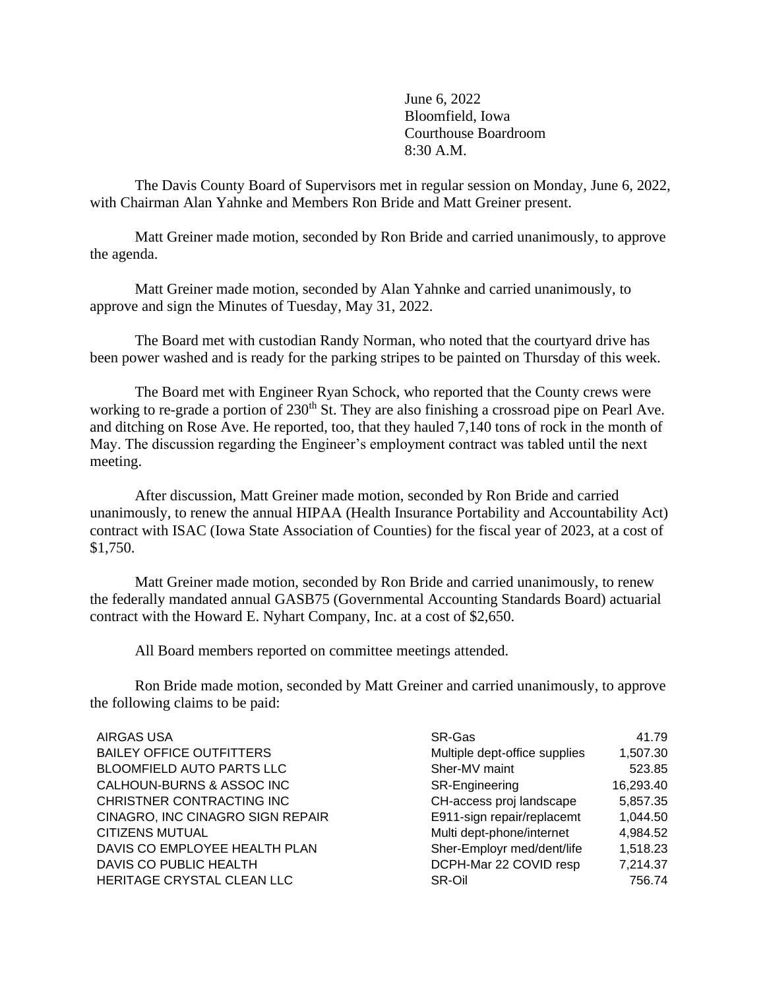June 6, 2022 Bloomfield, Iowa Courthouse Boardroom 8:30 A.M.

The Davis County Board of Supervisors met in regular session on Monday, June 6, 2022, with Chairman Alan Yahnke and Members Ron Bride and Matt Greiner present.

Matt Greiner made motion, seconded by Ron Bride and carried unanimously, to approve the agenda.

Matt Greiner made motion, seconded by Alan Yahnke and carried unanimously, to approve and sign the Minutes of Tuesday, May 31, 2022.

The Board met with custodian Randy Norman, who noted that the courtyard drive has been power washed and is ready for the parking stripes to be painted on Thursday of this week.

The Board met with Engineer Ryan Schock, who reported that the County crews were working to re-grade a portion of 230<sup>th</sup> St. They are also finishing a crossroad pipe on Pearl Ave. and ditching on Rose Ave. He reported, too, that they hauled 7,140 tons of rock in the month of May. The discussion regarding the Engineer's employment contract was tabled until the next meeting.

After discussion, Matt Greiner made motion, seconded by Ron Bride and carried unanimously, to renew the annual HIPAA (Health Insurance Portability and Accountability Act) contract with ISAC (Iowa State Association of Counties) for the fiscal year of 2023, at a cost of \$1,750.

Matt Greiner made motion, seconded by Ron Bride and carried unanimously, to renew the federally mandated annual GASB75 (Governmental Accounting Standards Board) actuarial contract with the Howard E. Nyhart Company, Inc. at a cost of \$2,650.

All Board members reported on committee meetings attended.

Ron Bride made motion, seconded by Matt Greiner and carried unanimously, to approve the following claims to be paid:

| <b>AIRGAS USA</b>                | SR-Gas                        | 41.79     |
|----------------------------------|-------------------------------|-----------|
| <b>BAILEY OFFICE OUTFITTERS</b>  | Multiple dept-office supplies | 1,507.30  |
| <b>BLOOMFIELD AUTO PARTS LLC</b> | Sher-MV maint                 | 523.85    |
| CALHOUN-BURNS & ASSOC INC        | SR-Engineering                | 16,293.40 |
| CHRISTNER CONTRACTING INC        | CH-access proj landscape      | 5,857.35  |
| CINAGRO, INC CINAGRO SIGN REPAIR | E911-sign repair/replacemt    | 1,044.50  |
| <b>CITIZENS MUTUAL</b>           | Multi dept-phone/internet     | 4,984.52  |
| DAVIS CO EMPLOYEE HEALTH PLAN    | Sher-Employr med/dent/life    | 1,518.23  |
| DAVIS CO PUBLIC HEALTH           | DCPH-Mar 22 COVID resp        | 7,214.37  |
| HERITAGE CRYSTAL CLEAN LLC       | SR-Oil                        | 756.74    |